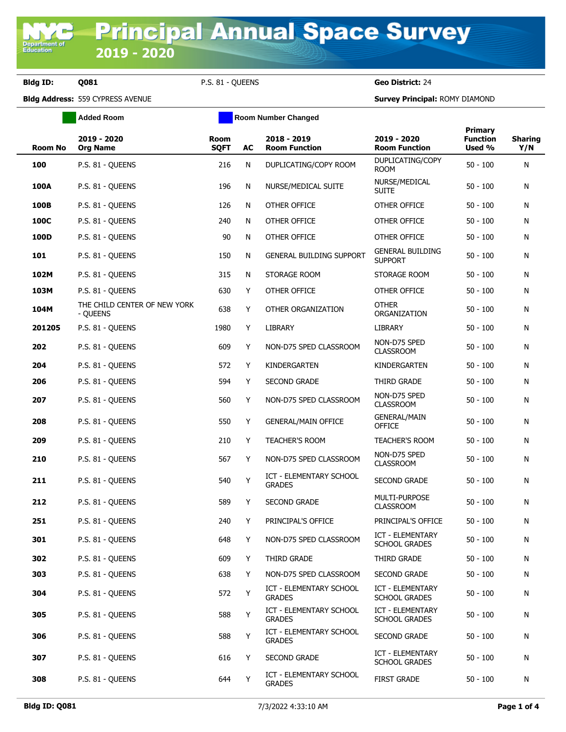**Department of**<br>Education

**Bldg ID: Q081** P.S. 81 - QUEENS **Geo District:** 24

**Bldg Address:** 559 CYPRESS AVENUE **Survey Principal:** ROMY DIAMOND

|                | <b>Added Room</b>                        |                            | <b>Room Number Changed</b> |                                          |                                                 |                                      |                       |
|----------------|------------------------------------------|----------------------------|----------------------------|------------------------------------------|-------------------------------------------------|--------------------------------------|-----------------------|
| <b>Room No</b> | 2019 - 2020<br><b>Org Name</b>           | <b>Room</b><br><b>SQFT</b> | AC                         | 2018 - 2019<br><b>Room Function</b>      | 2019 - 2020<br><b>Room Function</b>             | Primary<br><b>Function</b><br>Used % | <b>Sharing</b><br>Y/N |
| 100            | P.S. 81 - QUEENS                         | 216                        | N                          | DUPLICATING/COPY ROOM                    | DUPLICATING/COPY<br><b>ROOM</b>                 | $50 - 100$                           | N                     |
| 100A           | P.S. 81 - QUEENS                         | 196                        | N                          | NURSE/MEDICAL SUITE                      | NURSE/MEDICAL<br><b>SUITE</b>                   | $50 - 100$                           | N                     |
| 100B           | P.S. 81 - QUEENS                         | 126                        | N                          | OTHER OFFICE                             | OTHER OFFICE                                    | $50 - 100$                           | N                     |
| 100C           | P.S. 81 - QUEENS                         | 240                        | N                          | OTHER OFFICE                             | OTHER OFFICE                                    | $50 - 100$                           | N                     |
| 100D           | P.S. 81 - QUEENS                         | 90                         | N                          | OTHER OFFICE                             | OTHER OFFICE                                    | $50 - 100$                           | N                     |
| 101            | P.S. 81 - QUEENS                         | 150                        | N                          | <b>GENERAL BUILDING SUPPORT</b>          | <b>GENERAL BUILDING</b><br><b>SUPPORT</b>       | $50 - 100$                           | N                     |
| 102M           | P.S. 81 - QUEENS                         | 315                        | N                          | STORAGE ROOM                             | STORAGE ROOM                                    | $50 - 100$                           | N                     |
| 103M           | P.S. 81 - QUEENS                         | 630                        | Y                          | OTHER OFFICE                             | OTHER OFFICE                                    | $50 - 100$                           | N                     |
| 104M           | THE CHILD CENTER OF NEW YORK<br>- OUEENS | 638                        | Y                          | OTHER ORGANIZATION                       | <b>OTHER</b><br>ORGANIZATION                    | $50 - 100$                           | N                     |
| 201205         | P.S. 81 - QUEENS                         | 1980                       | Y                          | <b>LIBRARY</b>                           | <b>LIBRARY</b>                                  | $50 - 100$                           | N                     |
| 202            | P.S. 81 - OUEENS                         | 609                        | Y                          | NON-D75 SPED CLASSROOM                   | NON-D75 SPED<br><b>CLASSROOM</b>                | $50 - 100$                           | N                     |
| 204            | P.S. 81 - QUEENS                         | 572                        | Y                          | KINDERGARTEN                             | KINDERGARTEN                                    | $50 - 100$                           | N                     |
| 206            | P.S. 81 - QUEENS                         | 594                        | Y                          | <b>SECOND GRADE</b>                      | THIRD GRADE                                     | $50 - 100$                           | N                     |
| 207            | P.S. 81 - QUEENS                         | 560                        | Y                          | NON-D75 SPED CLASSROOM                   | NON-D75 SPED<br><b>CLASSROOM</b>                | $50 - 100$                           | N                     |
| 208            | P.S. 81 - QUEENS                         | 550                        | Y                          | <b>GENERAL/MAIN OFFICE</b>               | <b>GENERAL/MAIN</b><br><b>OFFICE</b>            | $50 - 100$                           | N                     |
| 209            | P.S. 81 - QUEENS                         | 210                        | Y                          | <b>TEACHER'S ROOM</b>                    | <b>TEACHER'S ROOM</b>                           | $50 - 100$                           | N                     |
| 210            | P.S. 81 - QUEENS                         | 567                        | Y                          | NON-D75 SPED CLASSROOM                   | NON-D75 SPED<br><b>CLASSROOM</b>                | $50 - 100$                           | N                     |
| 211            | P.S. 81 - QUEENS                         | 540                        | Υ                          | ICT - ELEMENTARY SCHOOL<br><b>GRADES</b> | <b>SECOND GRADE</b>                             | $50 - 100$                           | N                     |
| 212            | P.S. 81 - QUEENS                         | 589                        | Y                          | <b>SECOND GRADE</b>                      | MULTI-PURPOSE<br><b>CLASSROOM</b>               | $50 - 100$                           | N                     |
| 251            | P.S. 81 - QUEENS                         | 240                        | Y                          | PRINCIPAL'S OFFICE                       | PRINCIPAL'S OFFICE                              | $50 - 100$                           | N                     |
| 301            | P.S. 81 - QUEENS                         | 648                        | Y                          | NON-D75 SPED CLASSROOM                   | <b>ICT - ELEMENTARY</b><br><b>SCHOOL GRADES</b> | $50 - 100$                           | N                     |
| 302            | P.S. 81 - QUEENS                         | 609                        | Y                          | THIRD GRADE                              | THIRD GRADE                                     | $50 - 100$                           | N                     |
| 303            | P.S. 81 - OUEENS                         | 638                        | Y                          | NON-D75 SPED CLASSROOM                   | SECOND GRADE                                    | $50 - 100$                           | N                     |
| 304            | P.S. 81 - QUEENS                         | 572                        | Υ                          | ICT - ELEMENTARY SCHOOL<br><b>GRADES</b> | ICT - ELEMENTARY<br><b>SCHOOL GRADES</b>        | $50 - 100$                           | N                     |
| 305            | P.S. 81 - QUEENS                         | 588                        | Y                          | ICT - ELEMENTARY SCHOOL<br><b>GRADES</b> | ICT - ELEMENTARY<br><b>SCHOOL GRADES</b>        | $50 - 100$                           | N                     |
| 306            | P.S. 81 - QUEENS                         | 588                        | Y                          | ICT - ELEMENTARY SCHOOL<br><b>GRADES</b> | SECOND GRADE                                    | $50 - 100$                           | N                     |
| 307            | P.S. 81 - QUEENS                         | 616                        | Y                          | SECOND GRADE                             | ICT - ELEMENTARY<br><b>SCHOOL GRADES</b>        | $50 - 100$                           | N                     |
| 308            | P.S. 81 - QUEENS                         | 644                        | Υ                          | ICT - ELEMENTARY SCHOOL<br><b>GRADES</b> | <b>FIRST GRADE</b>                              | $50 - 100$                           | N                     |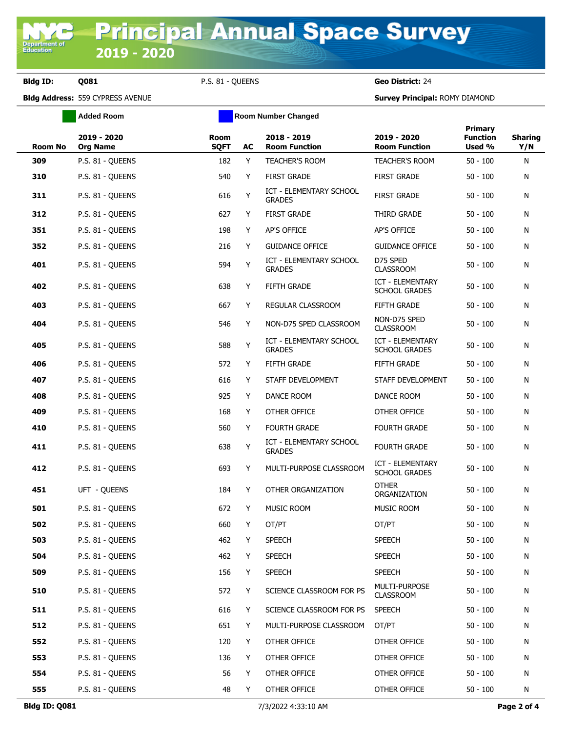**Bldg ID: Q081** P.S. 81 - QUEENS **Geo District:** 24

**Bldg Address:** 559 CYPRESS AVENUE **Survey Principal:** ROMY DIAMOND

|                | <b>Added Room</b>              |                            |    | <b>Room Number Changed</b>                      |                                                 |                                             |                       |
|----------------|--------------------------------|----------------------------|----|-------------------------------------------------|-------------------------------------------------|---------------------------------------------|-----------------------|
| <b>Room No</b> | 2019 - 2020<br><b>Org Name</b> | <b>Room</b><br><b>SQFT</b> | AC | 2018 - 2019<br><b>Room Function</b>             | 2019 - 2020<br><b>Room Function</b>             | <b>Primary</b><br><b>Function</b><br>Used % | <b>Sharing</b><br>Y/N |
| 309            | P.S. 81 - QUEENS               | 182                        | Y  | <b>TEACHER'S ROOM</b>                           | <b>TEACHER'S ROOM</b>                           | $50 - 100$                                  | N                     |
| 310            | P.S. 81 - OUEENS               | 540                        | Y  | <b>FIRST GRADE</b>                              | <b>FIRST GRADE</b>                              | $50 - 100$                                  | N                     |
| 311            | P.S. 81 - QUEENS               | 616                        | Υ  | <b>ICT - ELEMENTARY SCHOOL</b><br><b>GRADES</b> | <b>FIRST GRADE</b>                              | $50 - 100$                                  | N                     |
| 312            | P.S. 81 - QUEENS               | 627                        | Y  | <b>FIRST GRADE</b>                              | THIRD GRADE                                     | $50 - 100$                                  | N                     |
| 351            | P.S. 81 - QUEENS               | 198                        | Y  | <b>AP'S OFFICE</b>                              | AP'S OFFICE                                     | $50 - 100$                                  | N                     |
| 352            | P.S. 81 - QUEENS               | 216                        | Y  | <b>GUIDANCE OFFICE</b>                          | <b>GUIDANCE OFFICE</b>                          | $50 - 100$                                  | N                     |
| 401            | P.S. 81 - QUEENS               | 594                        | Υ  | ICT - ELEMENTARY SCHOOL<br><b>GRADES</b>        | D75 SPED<br><b>CLASSROOM</b>                    | $50 - 100$                                  | N                     |
| 402            | P.S. 81 - QUEENS               | 638                        | Υ  | <b>FIFTH GRADE</b>                              | <b>ICT - ELEMENTARY</b><br><b>SCHOOL GRADES</b> | $50 - 100$                                  | N                     |
| 403            | P.S. 81 - QUEENS               | 667                        | Y  | REGULAR CLASSROOM                               | <b>FIFTH GRADE</b>                              | $50 - 100$                                  | N                     |
| 404            | P.S. 81 - QUEENS               | 546                        | Y  | NON-D75 SPED CLASSROOM                          | NON-D75 SPED<br><b>CLASSROOM</b>                | $50 - 100$                                  | N                     |
| 405            | P.S. 81 - QUEENS               | 588                        | Υ  | <b>ICT - ELEMENTARY SCHOOL</b><br><b>GRADES</b> | <b>ICT - ELEMENTARY</b><br><b>SCHOOL GRADES</b> | $50 - 100$                                  | N                     |
| 406            | P.S. 81 - QUEENS               | 572                        | Y  | FIFTH GRADE                                     | <b>FIFTH GRADE</b>                              | $50 - 100$                                  | N                     |
| 407            | P.S. 81 - QUEENS               | 616                        | Y  | STAFF DEVELOPMENT                               | STAFF DEVELOPMENT                               | $50 - 100$                                  | N                     |
| 408            | P.S. 81 - QUEENS               | 925                        | Y  | DANCE ROOM                                      | DANCE ROOM                                      | $50 - 100$                                  | N                     |
| 409            | P.S. 81 - QUEENS               | 168                        | Y  | OTHER OFFICE                                    | OTHER OFFICE                                    | $50 - 100$                                  | N                     |
| 410            | P.S. 81 - QUEENS               | 560                        | Y  | <b>FOURTH GRADE</b>                             | <b>FOURTH GRADE</b>                             | $50 - 100$                                  | N                     |
| 411            | P.S. 81 - QUEENS               | 638                        | Y  | <b>ICT - ELEMENTARY SCHOOL</b><br><b>GRADES</b> | <b>FOURTH GRADE</b>                             | $50 - 100$                                  | N                     |
| 412            | P.S. 81 - QUEENS               | 693                        | Y  | MULTI-PURPOSE CLASSROOM                         | <b>ICT - ELEMENTARY</b><br><b>SCHOOL GRADES</b> | $50 - 100$                                  | N                     |
| 451            | UFT - QUEENS                   | 184                        | Y  | OTHER ORGANIZATION                              | <b>OTHER</b><br>ORGANIZATION                    | $50 - 100$                                  | N                     |
| 501            | P.S. 81 - QUEENS               | 672                        | Y  | <b>MUSIC ROOM</b>                               | <b>MUSIC ROOM</b>                               | $50 - 100$                                  | N                     |
| 502            | P.S. 81 - QUEENS               | 660                        | Y  | OT/PT                                           | OT/PT                                           | $50 - 100$                                  | N                     |
| 503            | P.S. 81 - QUEENS               | 462                        | Y  | <b>SPEECH</b>                                   | <b>SPEECH</b>                                   | $50 - 100$                                  | N                     |
| 504            | P.S. 81 - QUEENS               | 462                        | Y  | SPEECH                                          | <b>SPEECH</b>                                   | $50 - 100$                                  | N                     |
| 509            | P.S. 81 - QUEENS               | 156                        | Y  | <b>SPEECH</b>                                   | <b>SPEECH</b>                                   | $50 - 100$                                  | N                     |
| 510            | P.S. 81 - QUEENS               | 572                        | Y  | SCIENCE CLASSROOM FOR PS                        | MULTI-PURPOSE<br><b>CLASSROOM</b>               | $50 - 100$                                  | N                     |
| 511            | P.S. 81 - QUEENS               | 616                        | Y  | SCIENCE CLASSROOM FOR PS                        | <b>SPEECH</b>                                   | $50 - 100$                                  | N                     |
| 512            | P.S. 81 - QUEENS               | 651                        | Y  | MULTI-PURPOSE CLASSROOM                         | OT/PT                                           | $50 - 100$                                  | N                     |
| 552            | P.S. 81 - QUEENS               | 120                        | Y  | OTHER OFFICE                                    | OTHER OFFICE                                    | $50 - 100$                                  | N                     |
| 553            | P.S. 81 - QUEENS               | 136                        | Y  | OTHER OFFICE                                    | OTHER OFFICE                                    | $50 - 100$                                  | N                     |
| 554            | P.S. 81 - QUEENS               | 56                         | Y  | OTHER OFFICE                                    | OTHER OFFICE                                    | $50 - 100$                                  | N                     |
| 555            | P.S. 81 - QUEENS               | 48                         | Y. | OTHER OFFICE                                    | OTHER OFFICE                                    | $50 - 100$                                  | N                     |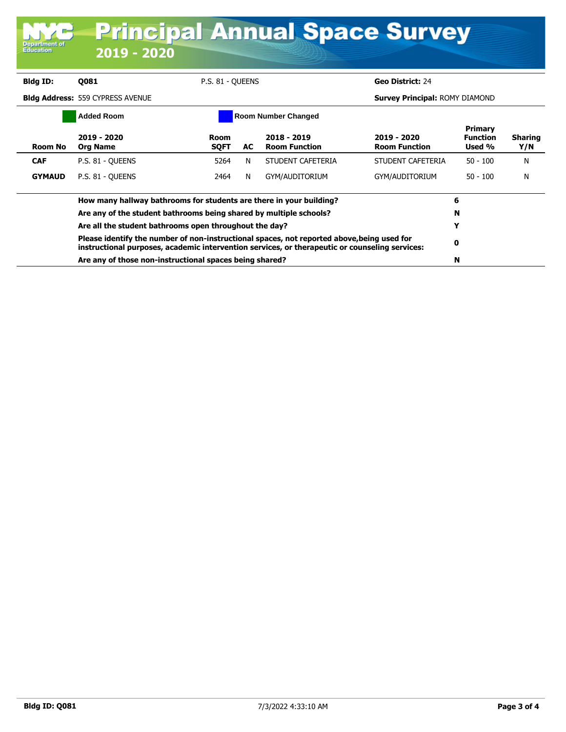| Department of<br><b>Education</b>                       | 2019 - 2020                                                                                                                                                                                  |                                      |     |                                     | <b>Principal Annual Space Survey</b>  |                                             |                       |  |
|---------------------------------------------------------|----------------------------------------------------------------------------------------------------------------------------------------------------------------------------------------------|--------------------------------------|-----|-------------------------------------|---------------------------------------|---------------------------------------------|-----------------------|--|
| Bldg ID:                                                | <b>Q081</b>                                                                                                                                                                                  | P.S. 81 - OUEENS<br>Geo District: 24 |     |                                     |                                       |                                             |                       |  |
| <b>Bldg Address: 559 CYPRESS AVENUE</b>                 |                                                                                                                                                                                              |                                      |     |                                     | <b>Survey Principal: ROMY DIAMOND</b> |                                             |                       |  |
| <b>Added Room</b><br><b>Room Number Changed</b>         |                                                                                                                                                                                              |                                      |     |                                     |                                       |                                             |                       |  |
| <b>Room No</b>                                          | 2019 - 2020<br><b>Org Name</b>                                                                                                                                                               | <b>Room</b><br><b>SOFT</b>           | AC. | 2018 - 2019<br><b>Room Function</b> | 2019 - 2020<br><b>Room Function</b>   | <b>Primary</b><br><b>Function</b><br>Used % | <b>Sharing</b><br>Y/N |  |
| <b>CAF</b>                                              | P.S. 81 - OUEENS                                                                                                                                                                             | 5264                                 | N   | STUDENT CAFETERIA                   | STUDENT CAFETERIA                     | $50 - 100$                                  | N                     |  |
| <b>GYMAUD</b>                                           | P.S. 81 - OUEENS                                                                                                                                                                             | 2464                                 | N   | GYM/AUDITORIUM                      | GYM/AUDITORIUM                        | $50 - 100$                                  | N                     |  |
|                                                         | How many hallway bathrooms for students are there in your building?                                                                                                                          |                                      | 6   |                                     |                                       |                                             |                       |  |
|                                                         | Are any of the student bathrooms being shared by multiple schools?<br>Are all the student bathrooms open throughout the day?                                                                 |                                      |     |                                     |                                       | N                                           |                       |  |
|                                                         |                                                                                                                                                                                              |                                      |     |                                     |                                       | Y                                           |                       |  |
|                                                         | Please identify the number of non-instructional spaces, not reported above, being used for<br>instructional purposes, academic intervention services, or therapeutic or counseling services: |                                      |     |                                     |                                       |                                             |                       |  |
| Are any of those non-instructional spaces being shared? |                                                                                                                                                                                              |                                      |     |                                     |                                       | N                                           |                       |  |